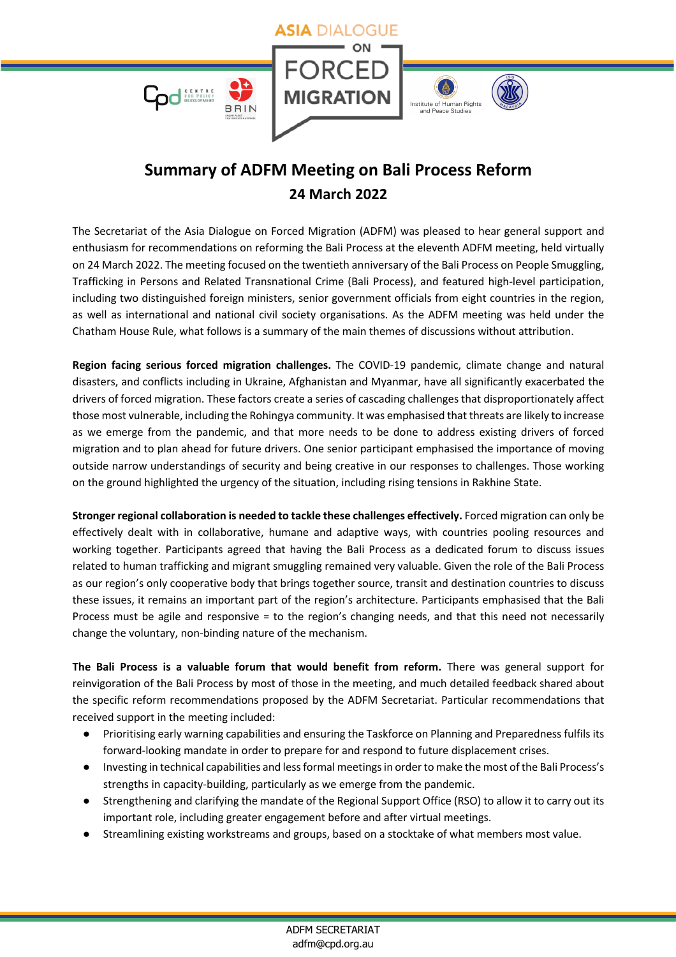

## **Summary of ADFM Meeting on Bali Process Reform 24 March 2022**

The Secretariat of the Asia Dialogue on Forced Migration (ADFM) was pleased to hear general support and enthusiasm for recommendations on reforming the Bali Process at the eleventh ADFM meeting, held virtually on 24 March 2022. The meeting focused on the twentieth anniversary of the Bali Process on People Smuggling, Trafficking in Persons and Related Transnational Crime (Bali Process), and featured high-level participation, including two distinguished foreign ministers, senior government officials from eight countries in the region, as well as international and national civil society organisations. As the ADFM meeting was held under the Chatham House Rule, what follows is a summary of the main themes of discussions without attribution.

**Region facing serious forced migration challenges.** The COVID-19 pandemic, climate change and natural disasters, and conflicts including in Ukraine, Afghanistan and Myanmar, have all significantly exacerbated the drivers of forced migration. These factors create a series of cascading challenges that disproportionately affect those most vulnerable, including the Rohingya community. It was emphasised that threats are likely to increase as we emerge from the pandemic, and that more needs to be done to address existing drivers of forced migration and to plan ahead for future drivers. One senior participant emphasised the importance of moving outside narrow understandings of security and being creative in our responses to challenges. Those working on the ground highlighted the urgency of the situation, including rising tensions in Rakhine State.

**Stronger regional collaboration is needed to tackle these challenges effectively.** Forced migration can only be effectively dealt with in collaborative, humane and adaptive ways, with countries pooling resources and working together. Participants agreed that having the Bali Process as a dedicated forum to discuss issues related to human trafficking and migrant smuggling remained very valuable. Given the role of the Bali Process as our region's only cooperative body that brings together source, transit and destination countries to discuss these issues, it remains an important part of the region's architecture. Participants emphasised that the Bali Process must be agile and responsive = to the region's changing needs, and that this need not necessarily change the voluntary, non-binding nature of the mechanism.

**The Bali Process is a valuable forum that would benefit from reform.** There was general support for reinvigoration of the Bali Process by most of those in the meeting, and much detailed feedback shared about the specific reform recommendations proposed by the ADFM Secretariat. Particular recommendations that received support in the meeting included:

- Prioritising early warning capabilities and ensuring the Taskforce on Planning and Preparedness fulfils its forward-looking mandate in order to prepare for and respond to future displacement crises.
- Investing in technical capabilities and less formal meetings in order to make the most of the Bali Process's strengths in capacity-building, particularly as we emerge from the pandemic.
- Strengthening and clarifying the mandate of the Regional Support Office (RSO) to allow it to carry out its important role, including greater engagement before and after virtual meetings.
- Streamlining existing workstreams and groups, based on a stocktake of what members most value.